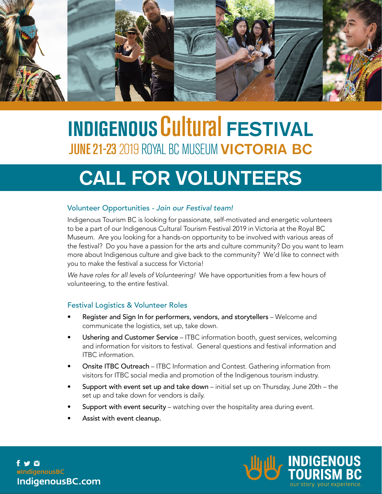

# **INDIGENOUS Cultural FESTIVAL JUNE 21-23 2019 ROYAL BC MUSEUM VICTORIA BC**

# **Call for Volunteers**

## Volunteer Opportunities *- Join our Festival team!*

Indigenous Tourism BC is looking for passionate, self-motivated and energetic volunteers to be a part of our Indigenous Cultural Tourism Festival 2019 in Victoria at the Royal BC Museum. Are you looking for a hands-on opportunity to be involved with various areas of the festival? Do you have a passion for the arts and culture community? Do you want to learn more about Indigenous culture and give back to the community? We'd like to connect with you to make the festival a success for Victoria!

*We have roles for all levels of Volunteering!* We have opportunities from a few hours of volunteering, to the entire festival.

## Festival Logistics & Volunteer Roles

- Register and Sign In for performers, vendors, and storytellers Welcome and communicate the logistics, set up, take down.
- Ushering and Customer Service ITBC information booth, guest services, welcoming and information for visitors to festival. General questions and festival information and ITBC information.
- **Onsite ITBC Outreach ITBC Information and Contest. Gathering information from** visitors for ITBC social media and promotion of the Indigenous tourism industry.
- Support with event set up and take down initial set up on Thursday, June  $20th$  the set up and take down for vendors is daily.
- Support with event security watching over the hospitality area during event.
- Assist with event cleanup.

f y o #IndigenousBC